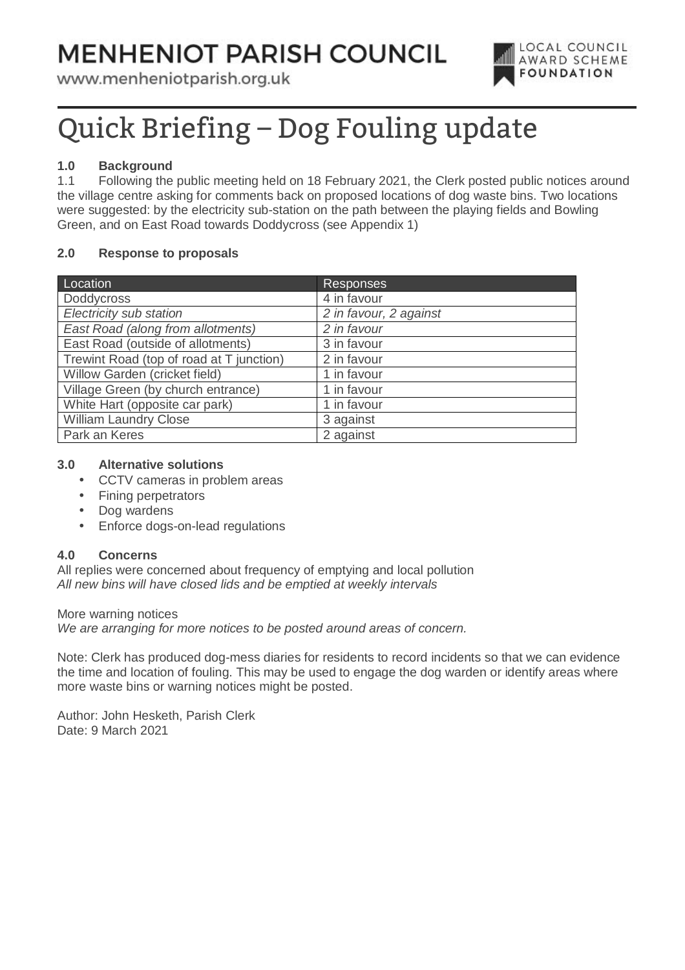## **MENHENIOT PARISH COUNCIL**

www.menheniotparish.org.uk



## Quick Briefing – Dog Fouling update

#### **1.0 Background**

1.1 Following the public meeting held on 18 February 2021, the Clerk posted public notices around the village centre asking for comments back on proposed locations of dog waste bins. Two locations were suggested: by the electricity sub-station on the path between the playing fields and Bowling Green, and on East Road towards Doddycross (see Appendix 1)

#### **2.0 Response to proposals**

| Location                                 | <b>Responses</b>       |
|------------------------------------------|------------------------|
| Doddycross                               | 4 in favour            |
| Electricity sub station                  | 2 in favour, 2 against |
| East Road (along from allotments)        | 2 in favour            |
| East Road (outside of allotments)        | 3 in favour            |
| Trewint Road (top of road at T junction) | 2 in favour            |
| Willow Garden (cricket field)            | 1 in favour            |
| Village Green (by church entrance)       | 1 in favour            |
| White Hart (opposite car park)           | 1 in favour            |
| <b>William Laundry Close</b>             | 3 against              |
| Park an Keres                            | 2 against              |

#### **3.0 Alternative solutions**

- CCTV cameras in problem areas
- Fining perpetrators
- Dog wardens
- Enforce dogs-on-lead regulations

#### **4.0 Concerns**

All replies were concerned about frequency of emptying and local pollution All new bins will have closed lids and be emptied at weekly intervals

More warning notices We are arranging for more notices to be posted around areas of concern.

Note: Clerk has produced dog-mess diaries for residents to record incidents so that we can evidence the time and location of fouling. This may be used to engage the dog warden or identify areas where more waste bins or warning notices might be posted.

Author: John Hesketh, Parish Clerk Date: 9 March 2021